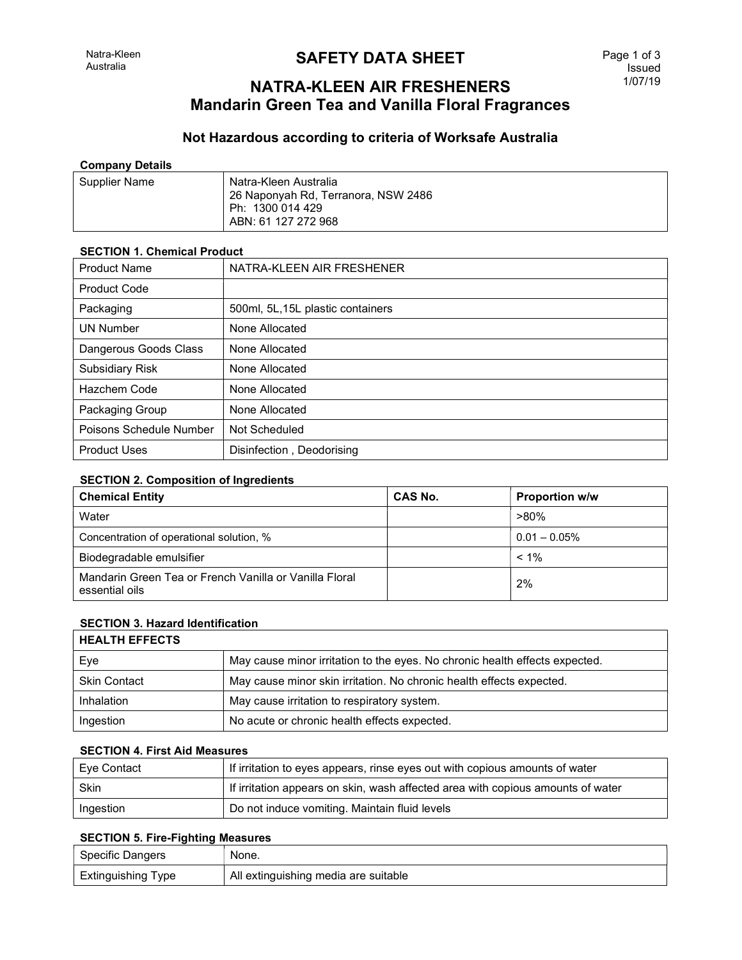# **SAFETY DATA SHEET**

# NATRA-KLEEN AIR FRESHENERS Mandarin Green Tea and Vanilla Floral Fragrances

# Not Hazardous according to criteria of Worksafe Australia

#### Company Details

| Supplier Name | Natra-Kleen Australia<br>26 Naponyah Rd, Terranora, NSW 2486<br>Ph: 1300 014 429 |
|---------------|----------------------------------------------------------------------------------|
|               | ABN: 61 127 272 968                                                              |

#### SECTION 1. Chemical Product

| <b>Product Name</b>     | NATRA-KLEEN AIR FRESHENER         |
|-------------------------|-----------------------------------|
| <b>Product Code</b>     |                                   |
| Packaging               | 500ml, 5L, 15L plastic containers |
| <b>UN Number</b>        | None Allocated                    |
| Dangerous Goods Class   | None Allocated                    |
| Subsidiary Risk         | None Allocated                    |
| Hazchem Code            | None Allocated                    |
| Packaging Group         | None Allocated                    |
| Poisons Schedule Number | Not Scheduled                     |
| <b>Product Uses</b>     | Disinfection, Deodorising         |

## SECTION 2. Composition of Ingredients

| <b>Chemical Entity</b>                                                   | <b>CAS No.</b> | <b>Proportion w/w</b> |
|--------------------------------------------------------------------------|----------------|-----------------------|
| Water                                                                    |                | $>80\%$               |
| Concentration of operational solution, %                                 |                | $0.01 - 0.05\%$       |
| Biodegradable emulsifier                                                 |                | $< 1\%$               |
| Mandarin Green Tea or French Vanilla or Vanilla Floral<br>essential oils |                | 2%                    |

### SECTION 3. Hazard Identification

| <b>HEALTH EFFECTS</b> |                                                                             |
|-----------------------|-----------------------------------------------------------------------------|
| Eye                   | May cause minor irritation to the eyes. No chronic health effects expected. |
| <b>Skin Contact</b>   | May cause minor skin irritation. No chronic health effects expected.        |
| Inhalation            | May cause irritation to respiratory system.                                 |
| Ingestion             | No acute or chronic health effects expected.                                |

#### SECTION 4. First Aid Measures

| ' Eye Contact | If irritation to eyes appears, rinse eyes out with copious amounts of water     |
|---------------|---------------------------------------------------------------------------------|
| Skin          | If irritation appears on skin, wash affected area with copious amounts of water |
| Ingestion     | Do not induce vomiting. Maintain fluid levels                                   |

### SECTION 5. Fire-Fighting Measures

| Specific Dangers   | None.                                |
|--------------------|--------------------------------------|
| Extinguishing Type | All extinguishing media are suitable |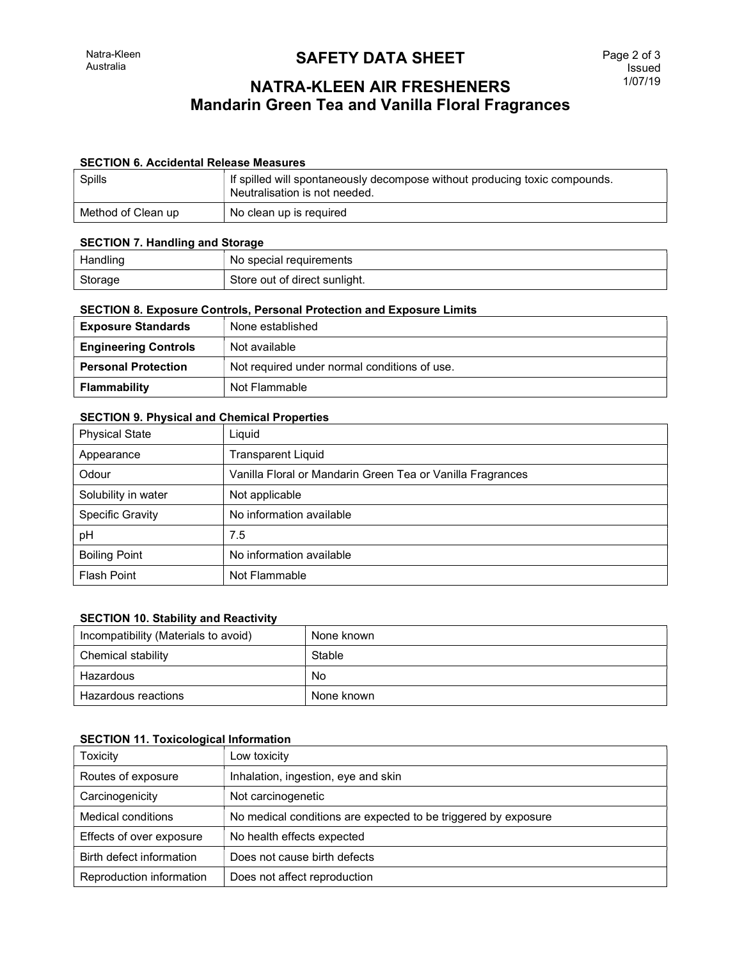# **SAFETY DATA SHEET**

# NATRA-KLEEN AIR FRESHENERS Mandarin Green Tea and Vanilla Floral Fragrances

### SECTION 6. Accidental Release Measures

| Spills             | If spilled will spontaneously decompose without producing toxic compounds.<br>Neutralisation is not needed. |
|--------------------|-------------------------------------------------------------------------------------------------------------|
| Method of Clean up | No clean up is required                                                                                     |

## SECTION 7. Handling and Storage

| $50 - 101$ |                               |
|------------|-------------------------------|
| Handling   | No special requirements       |
| Storage    | Store out of direct sunlight. |

#### SECTION 8. Exposure Controls, Personal Protection and Exposure Limits

| <b>Exposure Standards</b>   | None established                             |
|-----------------------------|----------------------------------------------|
| <b>Engineering Controls</b> | Not available                                |
| <b>Personal Protection</b>  | Not required under normal conditions of use. |
| Flammability                | Not Flammable                                |

#### SECTION 9. Physical and Chemical Properties

| <b>Physical State</b>   | Liquid                                                     |
|-------------------------|------------------------------------------------------------|
| Appearance              | <b>Transparent Liquid</b>                                  |
| Odour                   | Vanilla Floral or Mandarin Green Tea or Vanilla Fragrances |
| Solubility in water     | Not applicable                                             |
| <b>Specific Gravity</b> | No information available                                   |
| pH                      | 7.5                                                        |
| <b>Boiling Point</b>    | No information available                                   |
| <b>Flash Point</b>      | Not Flammable                                              |

## SECTION 10. Stability and Reactivity

| Incompatibility (Materials to avoid) | None known |
|--------------------------------------|------------|
| Chemical stability                   | Stable     |
| Hazardous                            | No         |
| Hazardous reactions                  | None known |

## SECTION 11. Toxicological Information

| <b>Toxicity</b>           | Low toxicity                                                   |
|---------------------------|----------------------------------------------------------------|
| Routes of exposure        | Inhalation, ingestion, eye and skin                            |
| Carcinogenicity           | Not carcinogenetic                                             |
| <b>Medical conditions</b> | No medical conditions are expected to be triggered by exposure |
| Effects of over exposure  | No health effects expected                                     |
| Birth defect information  | Does not cause birth defects                                   |
| Reproduction information  | Does not affect reproduction                                   |